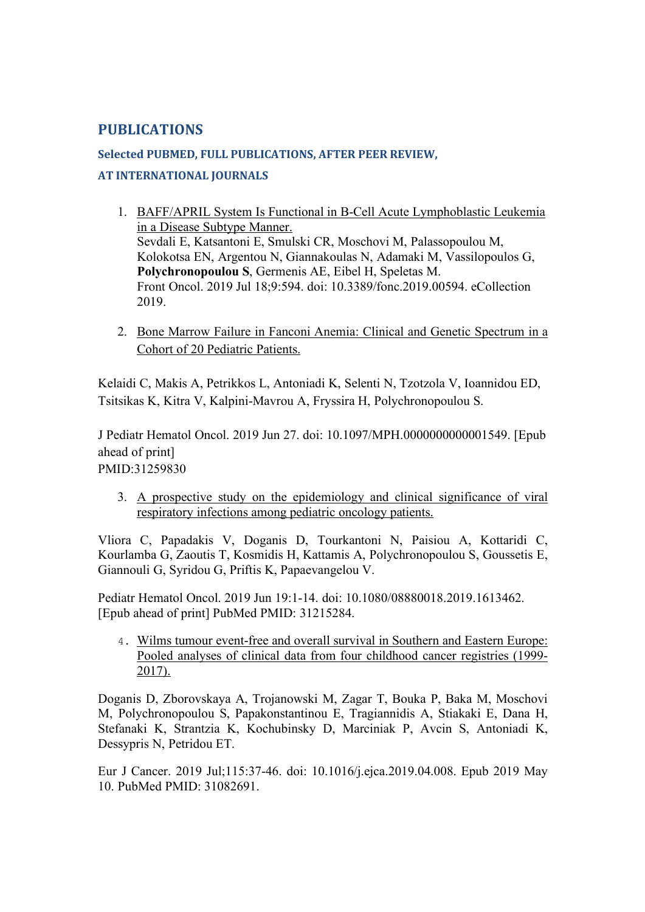## **PUBLICATIONS**

# **Selected PUBMED, FULL PUBLICATIONS, AFTER PEER REVIEW, AT INTERNATIONAL JOURNALS**

- 1. BAFF/APRIL System Is Functional in B-Cell Acute Lymphoblastic Leukemia in a Disease Subtype Manner. Sevdali E, Katsantoni E, Smulski CR, Moschovi M, Palassopoulou M, Kolokotsa EN, Argentou N, Giannakoulas N, Adamaki M, Vassilopoulos G, **Polychronopoulou S**, Germenis AE, Eibel H, Speletas M. Front Oncol. 2019 Jul 18;9:594. doi: 10.3389/fonc.2019.00594. eCollection 2019.
- 2. Bone Marrow Failure in Fanconi Anemia: Clinical and Genetic Spectrum in a Cohort of 20 Pediatric Patients.

Kelaidi C, Makis A, Petrikkos L, Antoniadi K, Selenti N, Tzotzola V, Ioannidou ED, Tsitsikas K, Kitra V, Kalpini-Mavrou A, Fryssira H, Polychronopoulou S.

J Pediatr Hematol Oncol. 2019 Jun 27. doi: 10.1097/MPH.0000000000001549. [Epub ahead of print] PMID:31259830

3. A prospective study on the epidemiology and clinical significance of viral respiratory infections among pediatric oncology patients.

Vliora C, Papadakis V, Doganis D, Tourkantoni N, Paisiou A, Kottaridi C, Kourlamba G, Zaoutis T, Kosmidis H, Kattamis A, Polychronopoulou S, Goussetis E, Giannouli G, Syridou G, Priftis K, Papaevangelou V.

Pediatr Hematol Oncol. 2019 Jun 19:1-14. doi: 10.1080/08880018.2019.1613462. [Epub ahead of print] PubMed PMID: 31215284.

4. Wilms tumour event-free and overall survival in Southern and Eastern Europe: Pooled analyses of clinical data from four childhood cancer registries (1999- 2017).

Doganis D, Zborovskaya A, Trojanowski M, Zagar T, Bouka P, Baka M, Moschovi M, Polychronopoulou S, Papakonstantinou E, Tragiannidis A, Stiakaki E, Dana H, Stefanaki K, Strantzia K, Kochubinsky D, Marciniak P, Avcin S, Antoniadi K, Dessypris N, Petridou ET.

Eur J Cancer. 2019 Jul;115:37-46. doi: 10.1016/j.ejca.2019.04.008. Epub 2019 May 10. PubMed PMID: 31082691.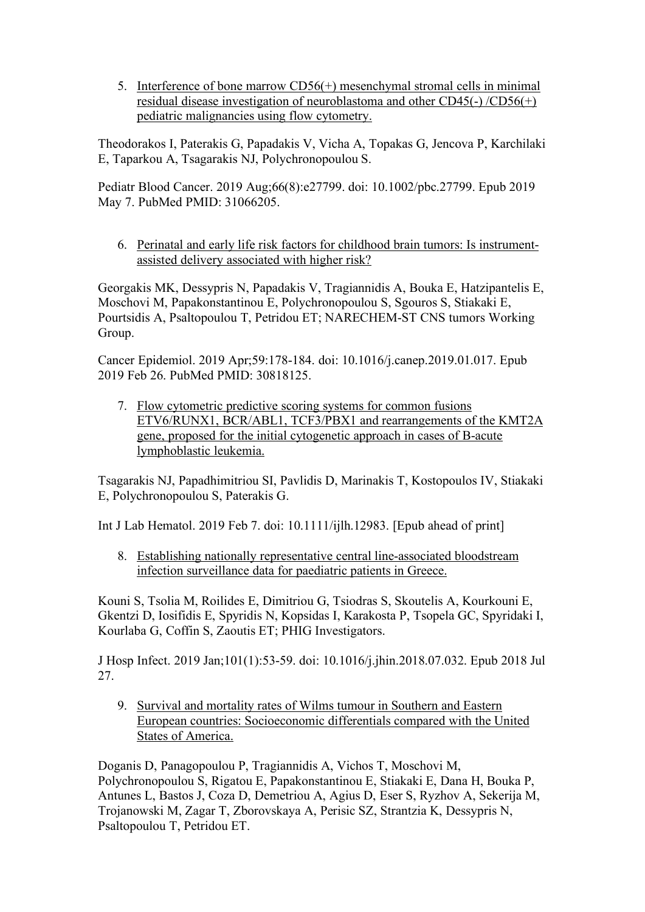5. Interference of bone marrow CD56(+) mesenchymal stromal cells in minimal residual disease investigation of neuroblastoma and other CD45(-) /CD56(+) pediatric malignancies using flow cytometry.

Theodorakos I, Paterakis G, Papadakis V, Vicha A, Topakas G, Jencova P, Karchilaki E, Taparkou A, Tsagarakis NJ, Polychronopoulou S.

Pediatr Blood Cancer. 2019 Aug;66(8):e27799. doi: 10.1002/pbc.27799. Epub 2019 May 7. PubMed PMID: 31066205.

6. Perinatal and early life risk factors for childhood brain tumors: Is instrumentassisted delivery associated with higher risk?

Georgakis MK, Dessypris N, Papadakis V, Tragiannidis A, Bouka E, Hatzipantelis E, Moschovi M, Papakonstantinou E, Polychronopoulou S, Sgouros S, Stiakaki E, Pourtsidis A, Psaltopoulou T, Petridou ET; NARECHEM-ST CNS tumors Working Group.

Cancer Epidemiol. 2019 Apr;59:178-184. doi: 10.1016/j.canep.2019.01.017. Epub 2019 Feb 26. PubMed PMID: 30818125.

7. Flow cytometric predictive scoring systems for common fusions ETV6/RUNX1, BCR/ABL1, TCF3/PBX1 and rearrangements of the KMT2A gene, proposed for the initial cytogenetic approach in cases of B-acute lymphoblastic leukemia.

Tsagarakis NJ, Papadhimitriou SI, Pavlidis D, Marinakis T, Kostopoulos IV, Stiakaki E, Polychronopoulou S, Paterakis G.

Int J Lab Hematol. 2019 Feb 7. doi: 10.1111/ijlh.12983. [Epub ahead of print]

8. Establishing nationally representative central line-associated bloodstream infection surveillance data for paediatric patients in Greece.

Kouni S, Tsolia M, Roilides E, Dimitriou G, Tsiodras S, Skoutelis A, Kourkouni E, Gkentzi D, Iosifidis E, Spyridis N, Kopsidas I, Karakosta P, Tsopela GC, Spyridaki I, Kourlaba G, Coffin S, Zaoutis ET; PHIG Investigators.

J Hosp Infect. 2019 Jan;101(1):53-59. doi: 10.1016/j.jhin.2018.07.032. Epub 2018 Jul 27.

9. Survival and mortality rates of Wilms tumour in Southern and Eastern European countries: Socioeconomic differentials compared with the United States of America.

Doganis D, Panagopoulou P, Tragiannidis A, Vichos T, Moschovi M, Polychronopoulou S, Rigatou E, Papakonstantinou E, Stiakaki E, Dana H, Bouka P, Antunes L, Bastos J, Coza D, Demetriou A, Agius D, Eser S, Ryzhov A, Sekerija M, Trojanowski M, Zagar T, Zborovskaya A, Perisic SZ, Strantzia K, Dessypris N, Psaltopoulou T, Petridou ET.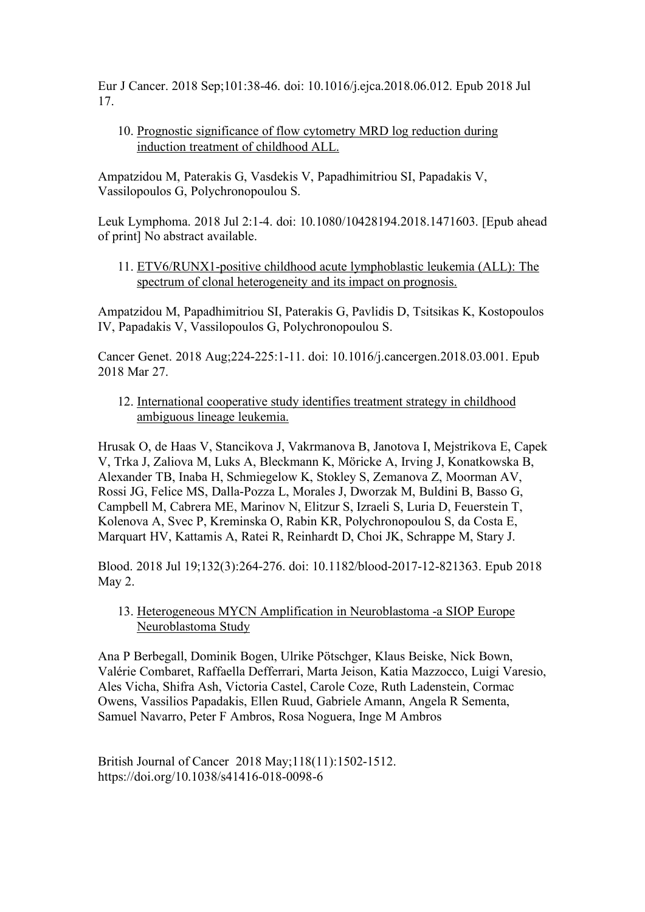Eur J Cancer. 2018 Sep;101:38-46. doi: 10.1016/j.ejca.2018.06.012. Epub 2018 Jul 17.

10. Prognostic significance of flow cytometry MRD log reduction during induction treatment of childhood ALL.

Ampatzidou M, Paterakis G, Vasdekis V, Papadhimitriou SI, Papadakis V, Vassilopoulos G, Polychronopoulou S.

Leuk Lymphoma. 2018 Jul 2:1-4. doi: 10.1080/10428194.2018.1471603. [Epub ahead of print] No abstract available.

11. ETV6/RUNX1-positive childhood acute lymphoblastic leukemia (ALL): The spectrum of clonal heterogeneity and its impact on prognosis.

Ampatzidou M, Papadhimitriou SI, Paterakis G, Pavlidis D, Tsitsikas Κ, Kostopoulos IV, Papadakis V, Vassilopoulos G, Polychronopoulou S.

Cancer Genet. 2018 Aug;224-225:1-11. doi: 10.1016/j.cancergen.2018.03.001. Epub 2018 Mar 27.

12. International cooperative study identifies treatment strategy in childhood ambiguous lineage leukemia.

Hrusak O, de Haas V, Stancikova J, Vakrmanova B, Janotova I, Mejstrikova E, Capek V, Trka J, Zaliova M, Luks A, Bleckmann K, Möricke A, Irving J, Konatkowska B, Alexander TB, Inaba H, Schmiegelow K, Stokley S, Zemanova Z, Moorman AV, Rossi JG, Felice MS, Dalla-Pozza L, Morales J, Dworzak M, Buldini B, Basso G, Campbell M, Cabrera ME, Marinov N, Elitzur S, Izraeli S, Luria D, Feuerstein T, Kolenova A, Svec P, Kreminska O, Rabin KR, Polychronopoulou S, da Costa E, Marquart HV, Kattamis A, Ratei R, Reinhardt D, Choi JK, Schrappe M, Stary J.

Blood. 2018 Jul 19;132(3):264-276. doi: 10.1182/blood-2017-12-821363. Epub 2018 May 2.

13. Heterogeneous MYCN Amplification in Neuroblastoma -a SIOP Europe Neuroblastoma Study

Ana P Berbegall, Dominik Bogen, Ulrike Pötschger, Klaus Beiske, Nick Bown, Valérie Combaret, Raffaella Defferrari, Marta Jeison, Katia Mazzocco, Luigi Varesio, Ales Vicha, Shifra Ash, Victoria Castel, Carole Coze, Ruth Ladenstein, Cormac Owens, Vassilios Papadakis, Ellen Ruud, Gabriele Amann, Angela R Sementa, Samuel Navarro, Peter F Ambros, Rosa Noguera, Inge M Ambros

British Journal of Cancer 2018 May;118(11):1502-1512. https://doi.org/10.1038/s41416-018-0098-6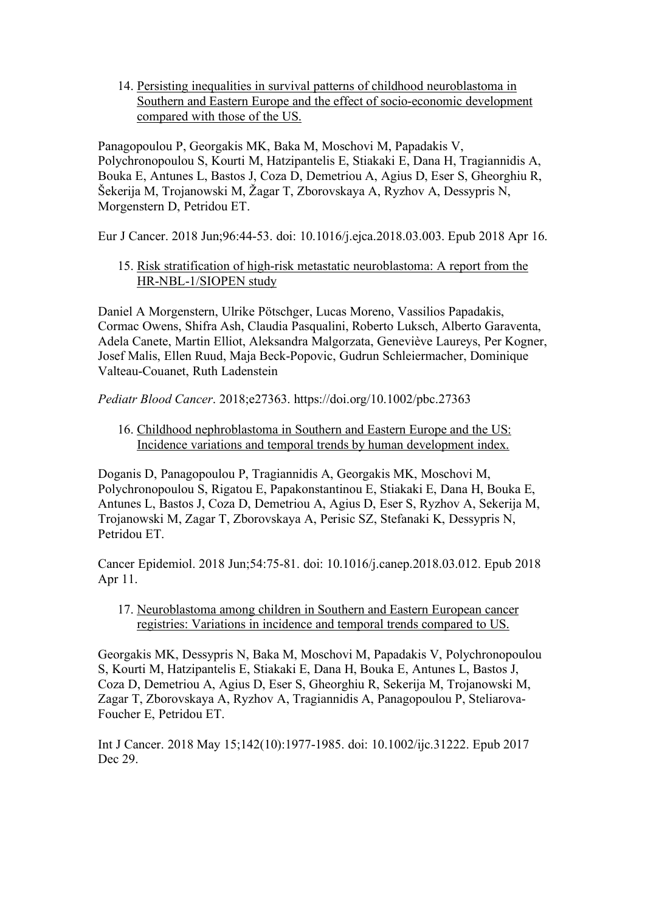14. Persisting inequalities in survival patterns of childhood neuroblastoma in Southern and Eastern Europe and the effect of socio-economic development compared with those of the US.

Panagopoulou P, Georgakis MK, Baka M, Moschovi M, Papadakis V, Polychronopoulou S, Kourti M, Hatzipantelis E, Stiakaki E, Dana H, Tragiannidis A, Bouka E, Antunes L, Bastos J, Coza D, Demetriou A, Agius D, Eser S, Gheorghiu R, Šekerija M, Trojanowski M, Žagar T, Zborovskaya A, Ryzhov A, Dessypris N, Morgenstern D, Petridou ET.

Eur J Cancer. 2018 Jun;96:44-53. doi: 10.1016/j.ejca.2018.03.003. Epub 2018 Apr 16.

15. Risk stratification of high-risk metastatic neuroblastoma: A report from the HR-NBL-1/SIOPEN study

Daniel A Morgenstern, Ulrike Pötschger, Lucas Moreno, Vassilios Papadakis, Cormac Owens, Shifra Ash, Claudia Pasqualini, Roberto Luksch, Alberto Garaventa, Adela Canete, Martin Elliot, Aleksandra Malgorzata, Geneviève Laureys, Per Kogner, Josef Malis, Ellen Ruud, Maja Beck-Popovic, Gudrun Schleiermacher, Dominique Valteau-Couanet, Ruth Ladenstein

*Pediatr Blood Cancer*. 2018;e27363. https://doi.org/10.1002/pbc.27363

16. Childhood nephroblastoma in Southern and Eastern Europe and the US: Incidence variations and temporal trends by human development index.

Doganis D, Panagopoulou P, Tragiannidis A, Georgakis MK, Moschovi M, Polychronopoulou S, Rigatou E, Papakonstantinou E, Stiakaki E, Dana H, Bouka E, Antunes L, Bastos J, Coza D, Demetriou A, Agius D, Eser S, Ryzhov A, Sekerija M, Trojanowski M, Zagar T, Zborovskaya A, Perisic SZ, Stefanaki K, Dessypris N, Petridou ET.

Cancer Epidemiol. 2018 Jun;54:75-81. doi: 10.1016/j.canep.2018.03.012. Epub 2018 Apr 11.

17. Neuroblastoma among children in Southern and Eastern European cancer registries: Variations in incidence and temporal trends compared to US.

Georgakis MK, Dessypris N, Baka M, Moschovi M, Papadakis V, Polychronopoulou S, Kourti M, Hatzipantelis E, Stiakaki E, Dana H, Bouka E, Antunes L, Bastos J, Coza D, Demetriou A, Agius D, Eser S, Gheorghiu R, Sekerija M, Trojanowski M, Zagar T, Zborovskaya A, Ryzhov A, Tragiannidis A, Panagopoulou P, Steliarova-Foucher E, Petridou ET.

Int J Cancer. 2018 May 15;142(10):1977-1985. doi: 10.1002/ijc.31222. Epub 2017 Dec 29.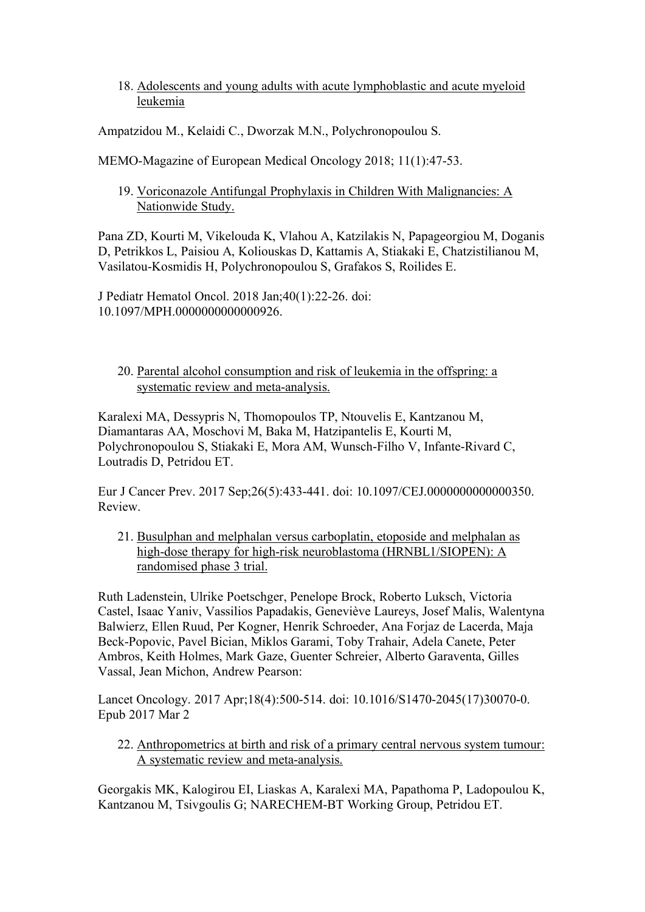18. Adolescents and young adults with acute lymphoblastic and acute myeloid leukemia

Ampatzidou M., Kelaidi C., Dworzak M.N., Polychronopoulou S.

MEMO-Magazine of European Medical Oncology 2018; 11(1):47-53.

19. Voriconazole Antifungal Prophylaxis in Children With Malignancies: A Nationwide Study.

Pana ZD, Kourti M, Vikelouda K, Vlahou A, Katzilakis N, Papageorgiou M, Doganis D, Petrikkos L, Paisiou A, Koliouskas D, Kattamis A, Stiakaki E, Chatzistilianou M, Vasilatou-Kosmidis H, Polychronopoulou S, Grafakos S, Roilides E.

J Pediatr Hematol Oncol. 2018 Jan;40(1):22-26. doi: 10.1097/MPH.0000000000000926.

#### 20. Parental alcohol consumption and risk of leukemia in the offspring: a systematic review and meta-analysis.

Karalexi MA, Dessypris N, Thomopoulos TP, Ntouvelis E, Kantzanou M, Diamantaras AA, Moschovi M, Baka M, Hatzipantelis E, Kourti M, Polychronopoulou S, Stiakaki E, Mora AM, Wunsch-Filho V, Infante-Rivard C, Loutradis D, Petridou ET.

Eur J Cancer Prev. 2017 Sep;26(5):433-441. doi: 10.1097/CEJ.0000000000000350. Review.

21. Busulphan and melphalan versus carboplatin, etoposide and melphalan as high-dose therapy for high-risk neuroblastoma (HRNBL1/SIOPEN): A randomised phase 3 trial.

Ruth Ladenstein, Ulrike Poetschger, Penelope Brock, Roberto Luksch, Victoria Castel, Isaac Yaniv, Vassilios Papadakis, Geneviève Laureys, Josef Malis, Walentyna Balwierz, Ellen Ruud, Per Kogner, Henrik Schroeder, Ana Forjaz de Lacerda, Maja Beck-Popovic, Pavel Bician, Miklos Garami, Toby Trahair, Adela Canete, Peter Ambros, Keith Holmes, Mark Gaze, Guenter Schreier, Alberto Garaventa, Gilles Vassal, Jean Michon, Andrew Pearson:

Lancet Oncology. 2017 Apr;18(4):500-514. doi: 10.1016/S1470-2045(17)30070-0. Epub 2017 Mar 2

22. Anthropometrics at birth and risk of a primary central nervous system tumour: A systematic review and meta-analysis.

Georgakis MK, Kalogirou EI, Liaskas A, Karalexi MA, Papathoma P, Ladopoulou K, Kantzanou M, Tsivgoulis G; NARECHEM-BT Working Group, Petridou ET.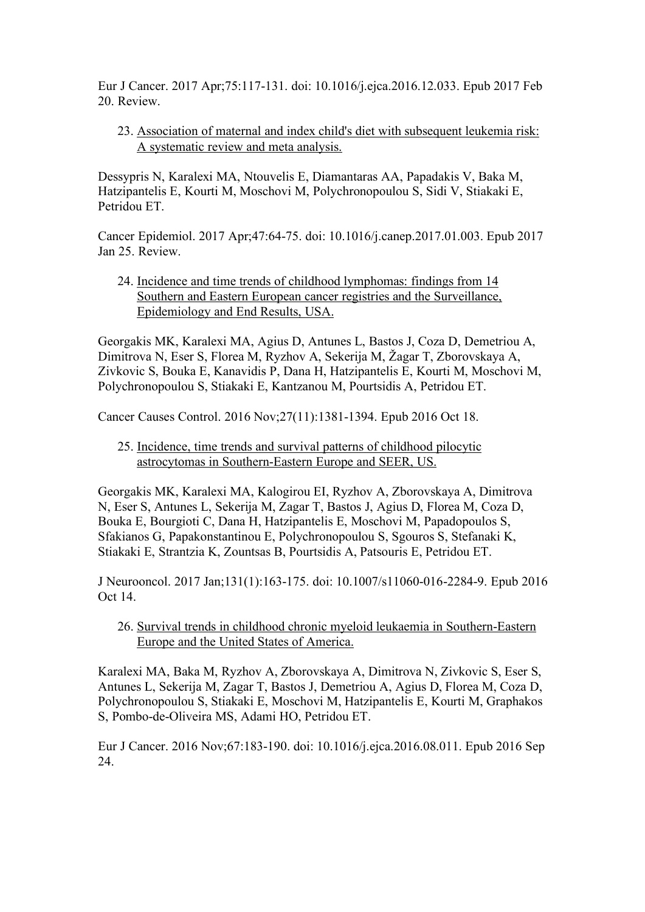Eur J Cancer. 2017 Apr;75:117-131. doi: 10.1016/j.ejca.2016.12.033. Epub 2017 Feb 20. Review.

23. Association of maternal and index child's diet with subsequent leukemia risk: A systematic review and meta analysis.

Dessypris N, Karalexi MA, Ntouvelis E, Diamantaras AA, Papadakis V, Baka M, Hatzipantelis E, Kourti M, Moschovi M, Polychronopoulou S, Sidi V, Stiakaki E, Petridou ET.

Cancer Epidemiol. 2017 Apr;47:64-75. doi: 10.1016/j.canep.2017.01.003. Epub 2017 Jan 25. Review.

24. Incidence and time trends of childhood lymphomas: findings from 14 Southern and Eastern European cancer registries and the Surveillance, Epidemiology and End Results, USA.

Georgakis MK, Karalexi MA, Agius D, Antunes L, Bastos J, Coza D, Demetriou A, Dimitrova N, Eser S, Florea M, Ryzhov A, Sekerija M, Žagar T, Zborovskaya A, Zivkovic S, Bouka E, Kanavidis P, Dana H, Hatzipantelis E, Kourti M, Moschovi M, Polychronopoulou S, Stiakaki E, Kantzanou Μ, Pourtsidis A, Petridou ET.

Cancer Causes Control. 2016 Nov;27(11):1381-1394. Epub 2016 Oct 18.

25. Incidence, time trends and survival patterns of childhood pilocytic astrocytomas in Southern-Eastern Europe and SEER, US.

Georgakis MK, Karalexi MA, Kalogirou EI, Ryzhov A, Zborovskaya A, Dimitrova N, Eser S, Antunes L, Sekerija M, Zagar T, Bastos J, Agius D, Florea M, Coza D, Bouka E, Bourgioti C, Dana H, Hatzipantelis E, Moschovi M, Papadopoulos S, Sfakianos G, Papakonstantinou E, Polychronopoulou S, Sgouros S, Stefanaki K, Stiakaki E, Strantzia K, Zountsas B, Pourtsidis A, Patsouris E, Petridou ET.

J Neurooncol. 2017 Jan;131(1):163-175. doi: 10.1007/s11060-016-2284-9. Epub 2016 Oct 14.

26. Survival trends in childhood chronic myeloid leukaemia in Southern-Eastern Europe and the United States of America.

Karalexi MA, Baka M, Ryzhov A, Zborovskaya A, Dimitrova N, Zivkovic S, Eser S, Antunes L, Sekerija M, Zagar T, Bastos J, Demetriou A, Agius D, Florea M, Coza D, Polychronopoulou S, Stiakaki E, Moschovi M, Hatzipantelis E, Kourti M, Graphakos S, Pombo-de-Oliveira MS, Adami HO, Petridou ET.

Eur J Cancer. 2016 Nov;67:183-190. doi: 10.1016/j.ejca.2016.08.011. Epub 2016 Sep 24.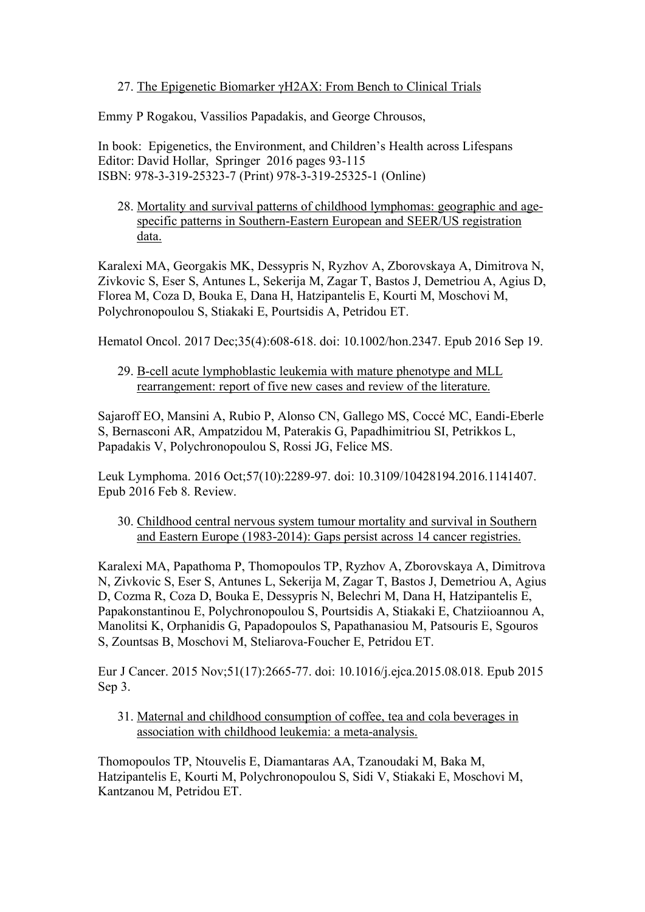#### 27. The Epigenetic Biomarker γH2AX: From Bench to Clinical Trials

Emmy P Rogakou, Vassilios Papadakis, and George Chrousos,

In book: Epigenetics, the Environment, and Children's Health across Lifespans Editor: David Hollar, Springer 2016 pages 93-115 ISBN: 978-3-319-25323-7 (Print) 978-3-319-25325-1 (Online)

28. Mortality and survival patterns of childhood lymphomas: geographic and agespecific patterns in Southern-Eastern European and SEER/US registration data.

Karalexi MA, Georgakis MK, Dessypris N, Ryzhov A, Zborovskaya A, Dimitrova N, Zivkovic S, Eser S, Antunes L, Sekerija M, Zagar T, Bastos J, Demetriou A, Agius D, Florea M, Coza D, Bouka E, Dana H, Hatzipantelis E, Kourti M, Moschovi M, Polychronopoulou S, Stiakaki E, Pourtsidis A, Petridou ET.

Hematol Oncol. 2017 Dec;35(4):608-618. doi: 10.1002/hon.2347. Epub 2016 Sep 19.

#### 29. B-cell acute lymphoblastic leukemia with mature phenotype and MLL rearrangement: report of five new cases and review of the literature.

Sajaroff EO, Mansini A, Rubio P, Alonso CN, Gallego MS, Coccé MC, Eandi-Eberle S, Bernasconi AR, Ampatzidou M, Paterakis G, Papadhimitriou SI, Petrikkos L, Papadakis V, Polychronopoulou S, Rossi JG, Felice MS.

Leuk Lymphoma. 2016 Oct;57(10):2289-97. doi: 10.3109/10428194.2016.1141407. Epub 2016 Feb 8. Review.

30. Childhood central nervous system tumour mortality and survival in Southern and Eastern Europe (1983-2014): Gaps persist across 14 cancer registries.

Karalexi MA, Papathoma P, Thomopoulos TP, Ryzhov A, Zborovskaya A, Dimitrova N, Zivkovic S, Eser S, Antunes L, Sekerija M, Zagar T, Bastos J, Demetriou A, Agius D, Cozma R, Coza D, Bouka E, Dessypris N, Belechri M, Dana H, Hatzipantelis E, Papakonstantinou E, Polychronopoulou S, Pourtsidis A, Stiakaki E, Chatziioannou A, Manolitsi K, Orphanidis G, Papadopoulos S, Papathanasiou M, Patsouris E, Sgouros S, Zountsas B, Moschovi M, Steliarova-Foucher E, Petridou ET.

Eur J Cancer. 2015 Nov;51(17):2665-77. doi: 10.1016/j.ejca.2015.08.018. Epub 2015 Sep 3.

31. Maternal and childhood consumption of coffee, tea and cola beverages in association with childhood leukemia: a meta-analysis.

Thomopoulos TP, Ntouvelis E, Diamantaras AA, Tzanoudaki M, Baka M, Hatzipantelis E, Kourti M, Polychronopoulou S, Sidi V, Stiakaki E, Moschovi M, Kantzanou M, Petridou ET.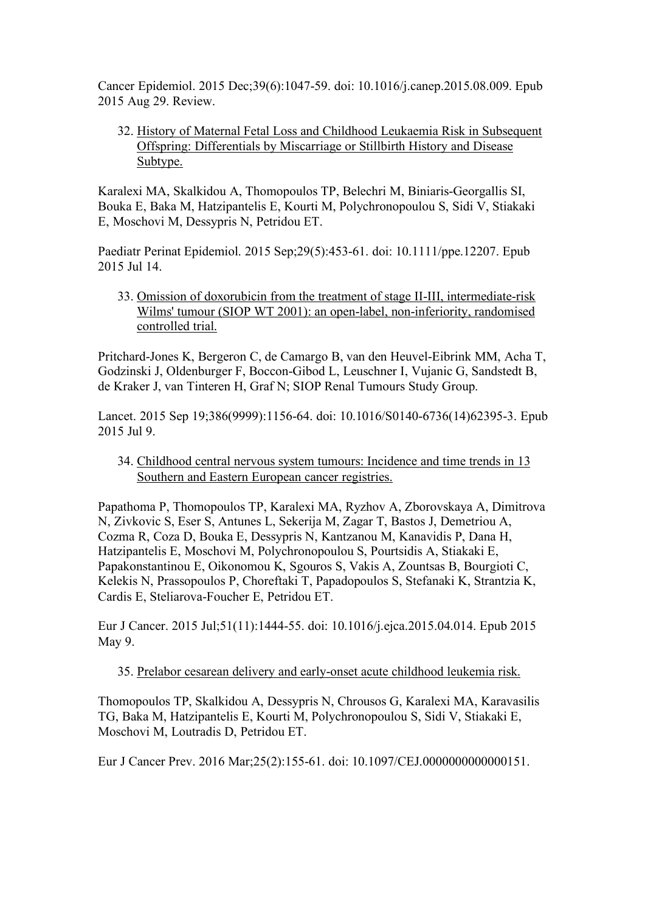Cancer Epidemiol. 2015 Dec;39(6):1047-59. doi: 10.1016/j.canep.2015.08.009. Epub 2015 Aug 29. Review.

32. History of Maternal Fetal Loss and Childhood Leukaemia Risk in Subsequent Offspring: Differentials by Miscarriage or Stillbirth History and Disease Subtype.

Karalexi MA, Skalkidou A, Thomopoulos TP, Belechri M, Biniaris-Georgallis SI, Bouka E, Baka M, Hatzipantelis E, Kourti M, Polychronopoulou S, Sidi V, Stiakaki E, Moschovi M, Dessypris N, Petridou ET.

Paediatr Perinat Epidemiol. 2015 Sep;29(5):453-61. doi: 10.1111/ppe.12207. Epub 2015 Jul 14.

33. Omission of doxorubicin from the treatment of stage II-III, intermediate-risk Wilms' tumour (SIOP WT 2001): an open-label, non-inferiority, randomised controlled trial.

Pritchard-Jones K, Bergeron C, de Camargo B, van den Heuvel-Eibrink MM, Acha T, Godzinski J, Oldenburger F, Boccon-Gibod L, Leuschner I, Vujanic G, Sandstedt B, de Kraker J, van Tinteren H, Graf N; SIOP Renal Tumours Study Group.

Lancet. 2015 Sep 19;386(9999):1156-64. doi: 10.1016/S0140-6736(14)62395-3. Epub 2015 Jul 9.

34. Childhood central nervous system tumours: Incidence and time trends in 13 Southern and Eastern European cancer registries.

Papathoma P, Thomopoulos TP, Karalexi MA, Ryzhov A, Zborovskaya A, Dimitrova N, Zivkovic S, Eser S, Antunes L, Sekerija M, Zagar T, Bastos J, Demetriou A, Cozma R, Coza D, Bouka E, Dessypris N, Kantzanou M, Kanavidis P, Dana H, Hatzipantelis E, Moschovi M, Polychronopoulou S, Pourtsidis A, Stiakaki E, Papakonstantinou E, Oikonomou K, Sgouros S, Vakis A, Zountsas B, Bourgioti C, Kelekis N, Prassopoulos P, Choreftaki T, Papadopoulos S, Stefanaki K, Strantzia K, Cardis E, Steliarova-Foucher E, Petridou ET.

Eur J Cancer. 2015 Jul;51(11):1444-55. doi: 10.1016/j.ejca.2015.04.014. Epub 2015 May 9.

35. Prelabor cesarean delivery and early-onset acute childhood leukemia risk.

Thomopoulos TP, Skalkidou A, Dessypris N, Chrousos G, Karalexi MA, Karavasilis TG, Baka M, Hatzipantelis E, Kourti M, Polychronopoulou S, Sidi V, Stiakaki E, Moschovi M, Loutradis D, Petridou ET.

Eur J Cancer Prev. 2016 Mar;25(2):155-61. doi: 10.1097/CEJ.0000000000000151.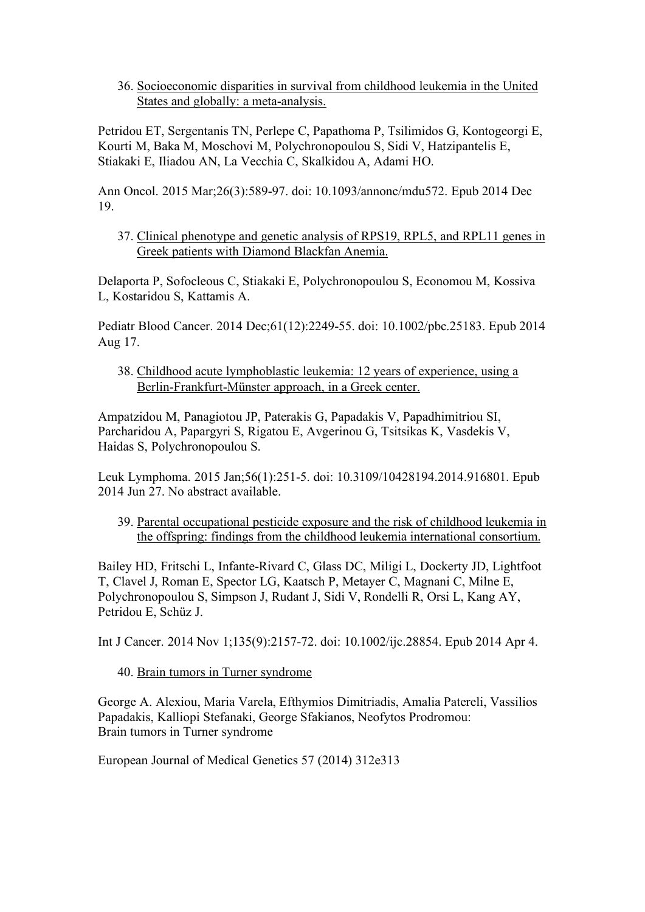36. Socioeconomic disparities in survival from childhood leukemia in the United States and globally: a meta-analysis.

Petridou ET, Sergentanis TN, Perlepe C, Papathoma P, Tsilimidos G, Kontogeorgi E, Kourti M, Baka M, Moschovi M, Polychronopoulou S, Sidi V, Hatzipantelis E, Stiakaki E, Iliadou AN, La Vecchia C, Skalkidou A, Adami HO.

Ann Oncol. 2015 Mar;26(3):589-97. doi: 10.1093/annonc/mdu572. Epub 2014 Dec 19.

37. Clinical phenotype and genetic analysis of RPS19, RPL5, and RPL11 genes in Greek patients with Diamond Blackfan Anemia.

Delaporta P, Sofocleous C, Stiakaki E, Polychronopoulou S, Economou M, Kossiva L, Kostaridou S, Kattamis A.

Pediatr Blood Cancer. 2014 Dec;61(12):2249-55. doi: 10.1002/pbc.25183. Epub 2014 Aug 17.

38. Childhood acute lymphoblastic leukemia: 12 years of experience, using a Berlin-Frankfurt-Münster approach, in a Greek center.

Ampatzidou M, Panagiotou JP, Paterakis G, Papadakis V, Papadhimitriou SI, Parcharidou A, Papargyri S, Rigatou E, Avgerinou G, Tsitsikas K, Vasdekis V, Haidas S, Polychronopoulou S.

Leuk Lymphoma. 2015 Jan;56(1):251-5. doi: 10.3109/10428194.2014.916801. Epub 2014 Jun 27. No abstract available.

39. Parental occupational pesticide exposure and the risk of childhood leukemia in the offspring: findings from the childhood leukemia international consortium.

Bailey HD, Fritschi L, Infante-Rivard C, Glass DC, Miligi L, Dockerty JD, Lightfoot T, Clavel J, Roman E, Spector LG, Kaatsch P, Metayer C, Magnani C, Milne E, Polychronopoulou S, Simpson J, Rudant J, Sidi V, Rondelli R, Orsi L, Kang AY, Petridou E, Schüz J.

Int J Cancer. 2014 Nov 1;135(9):2157-72. doi: 10.1002/ijc.28854. Epub 2014 Apr 4.

40. Brain tumors in Turner syndrome

George A. Alexiou, Maria Varela, Efthymios Dimitriadis, Amalia Patereli, Vassilios Papadakis, Kalliopi Stefanaki, George Sfakianos, Neofytos Prodromou: Brain tumors in Turner syndrome

European Journal of Medical Genetics 57 (2014) 312e313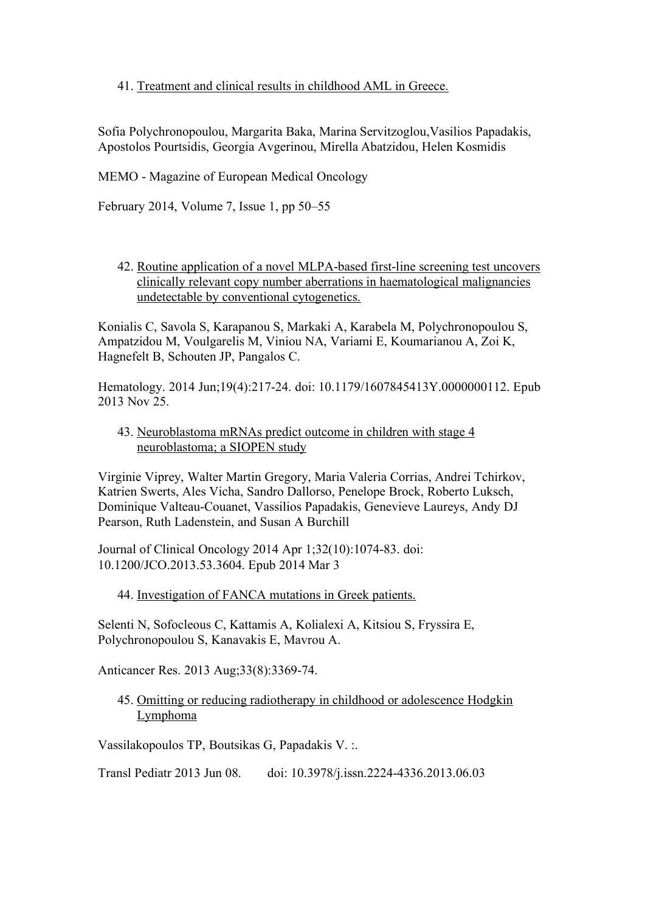### 41. Treatment and clinical results in childhood AML in Greece.

Sofia Polychronopoulou, Margarita Baka, Marina Servitzoglou,Vasilios Papadakis, Apostolos Pourtsidis, Georgia Avgerinou, Mirella Abatzidou, Helen Kosmidis

MEMO - Magazine of European Medical Oncology

February 2014, Volume 7, Issue 1, pp 50–55

42. Routine application of a novel MLPA-based first-line screening test uncovers clinically relevant copy number aberrations in haematological malignancies undetectable by conventional cytogenetics.

Konialis C, Savola S, Karapanou S, Markaki A, Karabela M, Polychronopoulou S, Ampatzidou M, Voulgarelis M, Viniou NA, Variami E, Koumarianou A, Zoi K, Hagnefelt B, Schouten JP, Pangalos C.

Hematology. 2014 Jun;19(4):217-24. doi: 10.1179/1607845413Y.0000000112. Epub 2013 Nov 25.

43. Neuroblastoma mRNAs predict outcome in children with stage 4 neuroblastoma; a SIOPEN study

Virginie Viprey, Walter Martin Gregory, Maria Valeria Corrias, Andrei Tchirkov, Katrien Swerts, Ales Vicha, Sandro Dallorso, Penelope Brock, Roberto Luksch, Dominique Valteau-Couanet, Vassilios Papadakis, Genevieve Laureys, Andy DJ Pearson, Ruth Ladenstein, and Susan A Burchill

Journal of Clinical Oncology 2014 Apr 1;32(10):1074-83. doi: 10.1200/JCO.2013.53.3604. Epub 2014 Mar 3

44. Investigation of FANCA mutations in Greek patients.

Selenti N, Sofocleous C, Kattamis A, Kolialexi A, Kitsiou S, Fryssira E, Polychronopoulou S, Kanavakis E, Mavrou A.

Anticancer Res. 2013 Aug;33(8):3369-74.

45. Omitting or reducing radiotherapy in childhood or adolescence Hodgkin Lymphoma

Vassilakopoulos TP, Boutsikas G, Papadakis V. :.

Transl Pediatr 2013 Jun 08. doi: 10.3978/j.issn.2224-4336.2013.06.03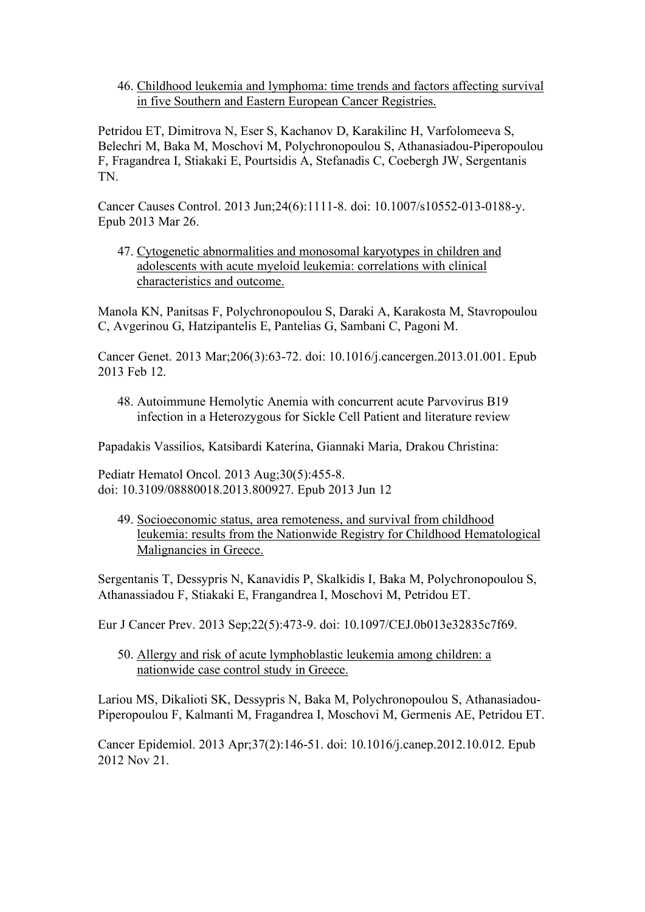46. Childhood leukemia and lymphoma: time trends and factors affecting survival in five Southern and Eastern European Cancer Registries.

Petridou ET, Dimitrova N, Eser S, Kachanov D, Karakilinc H, Varfolomeeva S, Belechri M, Baka M, Moschovi M, Polychronopoulou S, Athanasiadou-Piperopoulou F, Fragandrea I, Stiakaki E, Pourtsidis A, Stefanadis C, Coebergh JW, Sergentanis TN.

Cancer Causes Control. 2013 Jun;24(6):1111-8. doi: 10.1007/s10552-013-0188-y. Epub 2013 Mar 26.

47. Cytogenetic abnormalities and monosomal karyotypes in children and adolescents with acute myeloid leukemia: correlations with clinical characteristics and outcome.

Manola KN, Panitsas F, Polychronopoulou S, Daraki A, Karakosta M, Stavropoulou C, Avgerinou G, Hatzipantelis E, Pantelias G, Sambani C, Pagoni M.

Cancer Genet. 2013 Mar;206(3):63-72. doi: 10.1016/j.cancergen.2013.01.001. Epub 2013 Feb 12.

48. Autoimmune Hemolytic Anemia with concurrent acute Parvovirus B19 infection in a Heterozygous for Sickle Cell Patient and literature review

Papadakis Vassilios, Katsibardi Katerina, Giannaki Maria, Drakou Christina:

Pediatr Hematol Oncol. 2013 Aug;30(5):455-8. doi: 10.3109/08880018.2013.800927. Epub 2013 Jun 12

49. Socioeconomic status, area remoteness, and survival from childhood leukemia: results from the Nationwide Registry for Childhood Hematological Malignancies in Greece.

Sergentanis T, Dessypris N, Kanavidis P, Skalkidis I, Baka M, Polychronopoulou S, Athanassiadou F, Stiakaki E, Frangandrea I, Moschovi M, Petridou ET.

Eur J Cancer Prev. 2013 Sep;22(5):473-9. doi: 10.1097/CEJ.0b013e32835c7f69.

50. Allergy and risk of acute lymphoblastic leukemia among children: a nationwide case control study in Greece.

Lariou MS, Dikalioti SK, Dessypris N, Baka M, Polychronopoulou S, Athanasiadou-Piperopoulou F, Kalmanti M, Fragandrea I, Moschovi M, Germenis AE, Petridou ET.

Cancer Epidemiol. 2013 Apr;37(2):146-51. doi: 10.1016/j.canep.2012.10.012. Epub 2012 Nov 21.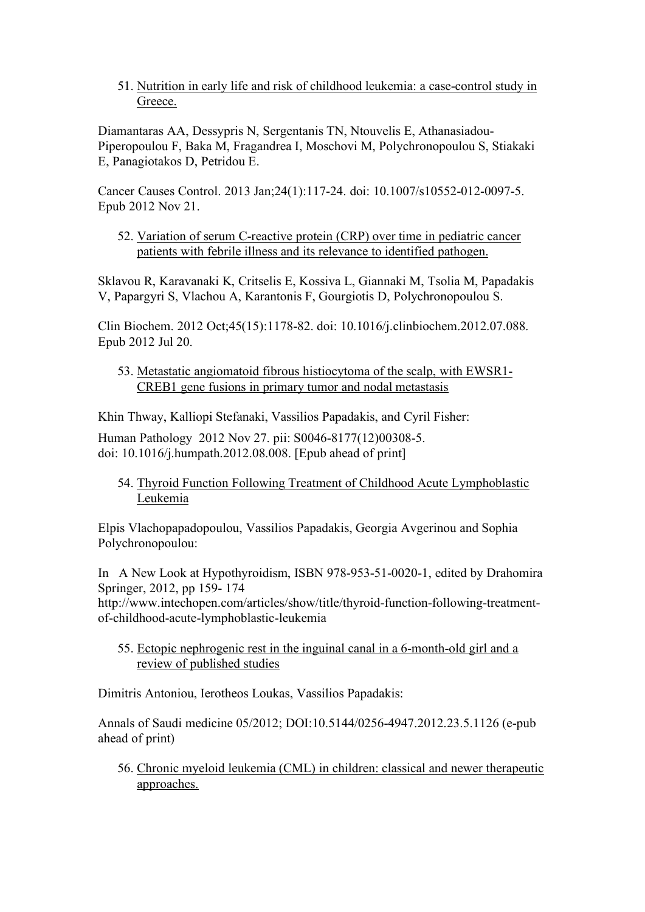51. Nutrition in early life and risk of childhood leukemia: a case-control study in Greece.

Diamantaras AA, Dessypris N, Sergentanis TN, Ntouvelis E, Athanasiadou-Piperopoulou F, Baka M, Fragandrea I, Moschovi M, Polychronopoulou S, Stiakaki E, Panagiotakos D, Petridou E.

Cancer Causes Control. 2013 Jan;24(1):117-24. doi: 10.1007/s10552-012-0097-5. Epub 2012 Nov 21.

52. Variation of serum C-reactive protein (CRP) over time in pediatric cancer patients with febrile illness and its relevance to identified pathogen.

Sklavou R, Karavanaki K, Critselis E, Kossiva L, Giannaki M, Tsolia M, Papadakis V, Papargyri S, Vlachou A, Karantonis F, Gourgiotis D, Polychronopoulou S.

Clin Biochem. 2012 Oct;45(15):1178-82. doi: 10.1016/j.clinbiochem.2012.07.088. Epub 2012 Jul 20.

53. Metastatic angiomatoid fibrous histiocytoma of the scalp, with EWSR1- CREB1 gene fusions in primary tumor and nodal metastasis

Khin Thway, Kalliopi Stefanaki, Vassilios Papadakis, and Cyril Fisher:

Human Pathology 2012 Nov 27. pii: S0046-8177(12)00308-5. doi: 10.1016/j.humpath.2012.08.008. [Epub ahead of print]

54. Thyroid Function Following Treatment of Childhood Acute Lymphoblastic Leukemia

Elpis Vlachopapadopoulou, Vassilios Papadakis, Georgia Avgerinou and Sophia Polychronopoulou:

In A New Look at Hypothyroidism, ISBN 978-953-51-0020-1, edited by Drahomira Springer, 2012, pp 159- 174

http://www.intechopen.com/articles/show/title/thyroid-function-following-treatmentof-childhood-acute-lymphoblastic-leukemia

55. Ectopic nephrogenic rest in the inguinal canal in a 6-month-old girl and a review of published studies

Dimitris Antoniou, Ierotheos Loukas, Vassilios Papadakis:

Annals of Saudi medicine 05/2012; DOI:10.5144/0256-4947.2012.23.5.1126 (e-pub ahead of print)

56. Chronic myeloid leukemia (CML) in children: classical and newer therapeutic approaches.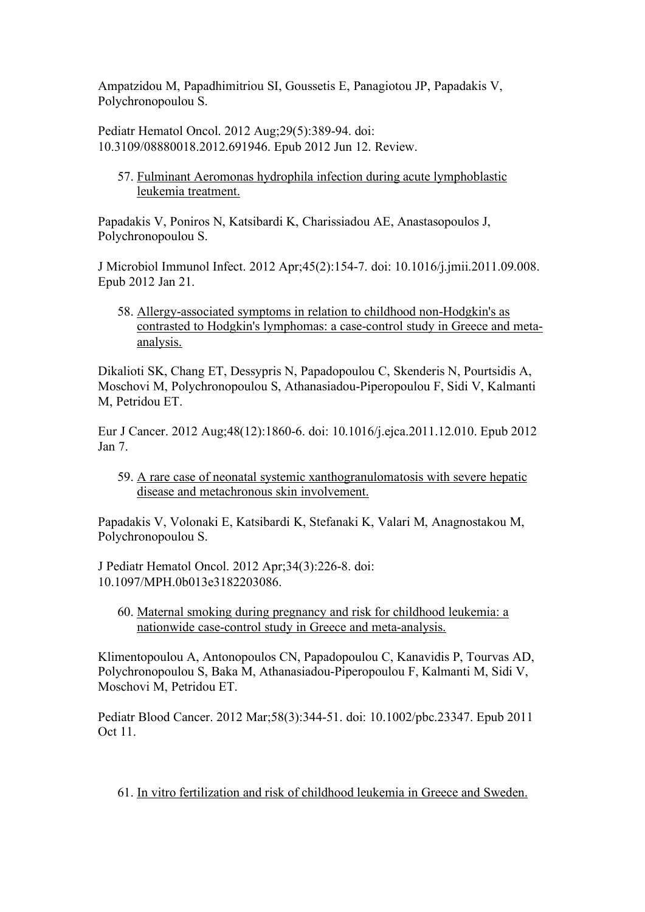Ampatzidou M, Papadhimitriou SI, Goussetis E, Panagiotou JP, Papadakis V, Polychronopoulou S.

Pediatr Hematol Oncol. 2012 Aug;29(5):389-94. doi: 10.3109/08880018.2012.691946. Epub 2012 Jun 12. Review.

57. Fulminant Aeromonas hydrophila infection during acute lymphoblastic leukemia treatment.

Papadakis V, Poniros N, Katsibardi K, Charissiadou AE, Anastasopoulos J, Polychronopoulou S.

J Microbiol Immunol Infect. 2012 Apr;45(2):154-7. doi: 10.1016/j.jmii.2011.09.008. Epub 2012 Jan 21.

58. Allergy-associated symptoms in relation to childhood non-Hodgkin's as contrasted to Hodgkin's lymphomas: a case-control study in Greece and metaanalysis.

Dikalioti SK, Chang ET, Dessypris N, Papadopoulou C, Skenderis N, Pourtsidis A, Moschovi M, Polychronopoulou S, Athanasiadou-Piperopoulou F, Sidi V, Kalmanti M, Petridou ET.

Eur J Cancer. 2012 Aug;48(12):1860-6. doi: 10.1016/j.ejca.2011.12.010. Epub 2012 Jan 7.

59. A rare case of neonatal systemic xanthogranulomatosis with severe hepatic disease and metachronous skin involvement.

Papadakis V, Volonaki E, Katsibardi K, Stefanaki K, Valari M, Anagnostakou M, Polychronopoulou S.

J Pediatr Hematol Oncol. 2012 Apr;34(3):226-8. doi: 10.1097/MPH.0b013e3182203086.

60. Maternal smoking during pregnancy and risk for childhood leukemia: a nationwide case-control study in Greece and meta-analysis.

Klimentopoulou A, Antonopoulos CN, Papadopoulou C, Kanavidis P, Tourvas AD, Polychronopoulou S, Baka M, Athanasiadou-Piperopoulou F, Kalmanti M, Sidi V, Moschovi M, Petridou ET.

Pediatr Blood Cancer. 2012 Mar;58(3):344-51. doi: 10.1002/pbc.23347. Epub 2011 Oct 11.

61. In vitro fertilization and risk of childhood leukemia in Greece and Sweden.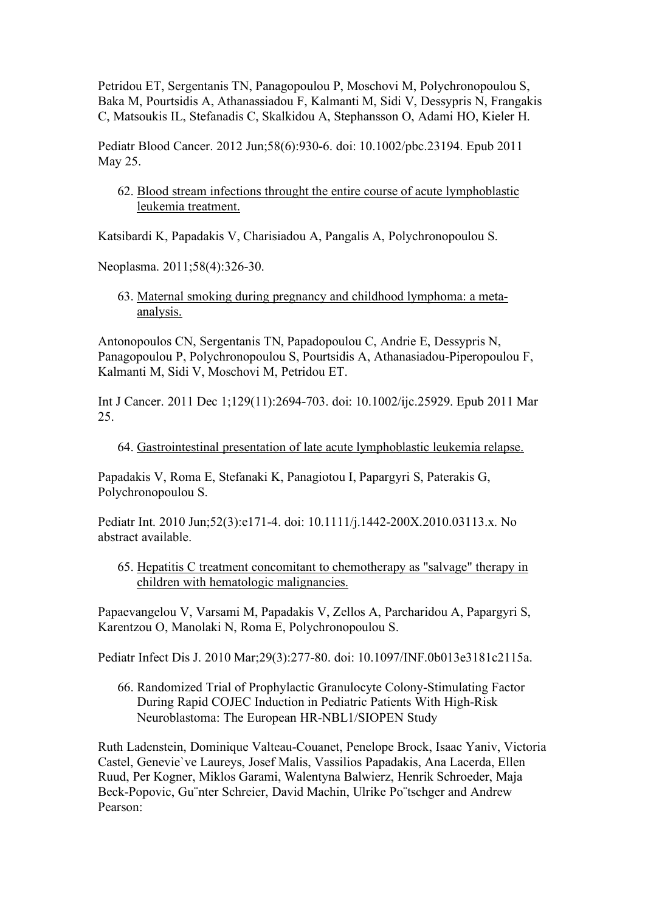Petridou ET, Sergentanis TN, Panagopoulou P, Moschovi M, Polychronopoulou S, Baka M, Pourtsidis A, Athanassiadou F, Kalmanti M, Sidi V, Dessypris N, Frangakis C, Matsoukis IL, Stefanadis C, Skalkidou A, Stephansson O, Adami HO, Kieler H.

Pediatr Blood Cancer. 2012 Jun;58(6):930-6. doi: 10.1002/pbc.23194. Epub 2011 May 25.

62. Blood stream infections throught the entire course of acute lymphoblastic leukemia treatment.

Katsibardi K, Papadakis V, Charisiadou A, Pangalis A, Polychronopoulou S.

Neoplasma. 2011;58(4):326-30.

63. Maternal smoking during pregnancy and childhood lymphoma: a metaanalysis.

Antonopoulos CN, Sergentanis TN, Papadopoulou C, Andrie E, Dessypris N, Panagopoulou P, Polychronopoulou S, Pourtsidis A, Athanasiadou-Piperopoulou F, Kalmanti M, Sidi V, Moschovi M, Petridou ET.

Int J Cancer. 2011 Dec 1;129(11):2694-703. doi: 10.1002/ijc.25929. Epub 2011 Mar 25.

64. Gastrointestinal presentation of late acute lymphoblastic leukemia relapse.

Papadakis V, Roma E, Stefanaki K, Panagiotou I, Papargyri S, Paterakis G, Polychronopoulou S.

Pediatr Int. 2010 Jun;52(3):e171-4. doi: 10.1111/j.1442-200X.2010.03113.x. No abstract available.

65. Hepatitis C treatment concomitant to chemotherapy as "salvage" therapy in children with hematologic malignancies.

Papaevangelou V, Varsami M, Papadakis V, Zellos A, Parcharidou A, Papargyri S, Karentzou O, Manolaki N, Roma E, Polychronopoulou S.

Pediatr Infect Dis J. 2010 Mar;29(3):277-80. doi: 10.1097/INF.0b013e3181c2115a.

66. Randomized Trial of Prophylactic Granulocyte Colony-Stimulating Factor During Rapid COJEC Induction in Pediatric Patients With High-Risk Neuroblastoma: The European HR-NBL1/SIOPEN Study

Ruth Ladenstein, Dominique Valteau-Couanet, Penelope Brock, Isaac Yaniv, Victoria Castel, Genevie`ve Laureys, Josef Malis, Vassilios Papadakis, Ana Lacerda, Ellen Ruud, Per Kogner, Miklos Garami, Walentyna Balwierz, Henrik Schroeder, Maja Beck-Popovic, Gu¨nter Schreier, David Machin, Ulrike Po¨tschger and Andrew Pearson: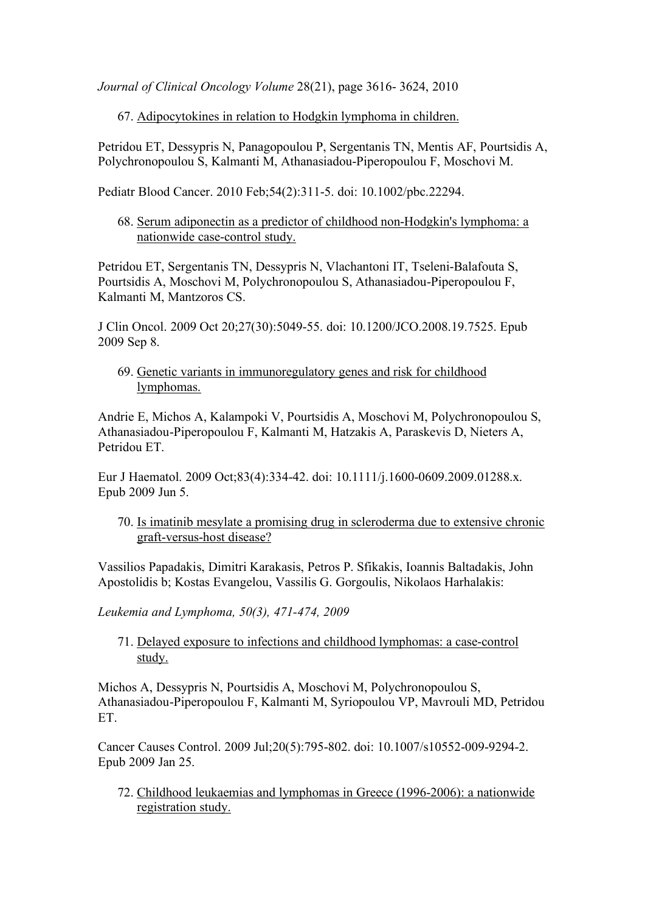*Journal of Clinical Oncology Volume* 28(21), page 3616- 3624, 2010

67. Adipocytokines in relation to Hodgkin lymphoma in children.

Petridou ET, Dessypris N, Panagopoulou P, Sergentanis TN, Mentis AF, Pourtsidis A, Polychronopoulou S, Kalmanti M, Athanasiadou-Piperopoulou F, Moschovi M.

Pediatr Blood Cancer. 2010 Feb;54(2):311-5. doi: 10.1002/pbc.22294.

68. Serum adiponectin as a predictor of childhood non-Hodgkin's lymphoma: a nationwide case-control study.

Petridou ET, Sergentanis TN, Dessypris N, Vlachantoni IT, Tseleni-Balafouta S, Pourtsidis A, Moschovi M, Polychronopoulou S, Athanasiadou-Piperopoulou F, Kalmanti M, Mantzoros CS.

J Clin Oncol. 2009 Oct 20;27(30):5049-55. doi: 10.1200/JCO.2008.19.7525. Epub 2009 Sep 8.

69. Genetic variants in immunoregulatory genes and risk for childhood lymphomas.

Andrie E, Michos A, Kalampoki V, Pourtsidis A, Moschovi M, Polychronopoulou S, Athanasiadou-Piperopoulou F, Kalmanti M, Hatzakis A, Paraskevis D, Nieters A, Petridou ET.

Eur J Haematol. 2009 Oct;83(4):334-42. doi: 10.1111/j.1600-0609.2009.01288.x. Epub 2009 Jun 5.

70. Is imatinib mesylate a promising drug in scleroderma due to extensive chronic graft-versus-host disease?

Vassilios Papadakis, Dimitri Karakasis, Petros P. Sfikakis, Ioannis Baltadakis, John Apostolidis b; Kostas Evangelou, Vassilis G. Gorgoulis, Nikolaos Harhalakis:

*Leukemia and Lymphoma, 50(3), 471-474, 2009*

71. Delayed exposure to infections and childhood lymphomas: a case-control study.

Michos A, Dessypris N, Pourtsidis A, Moschovi M, Polychronopoulou S, Athanasiadou-Piperopoulou F, Kalmanti M, Syriopoulou VP, Mavrouli MD, Petridou ET.

Cancer Causes Control. 2009 Jul;20(5):795-802. doi: 10.1007/s10552-009-9294-2. Epub 2009 Jan 25.

72. Childhood leukaemias and lymphomas in Greece (1996-2006): a nationwide registration study.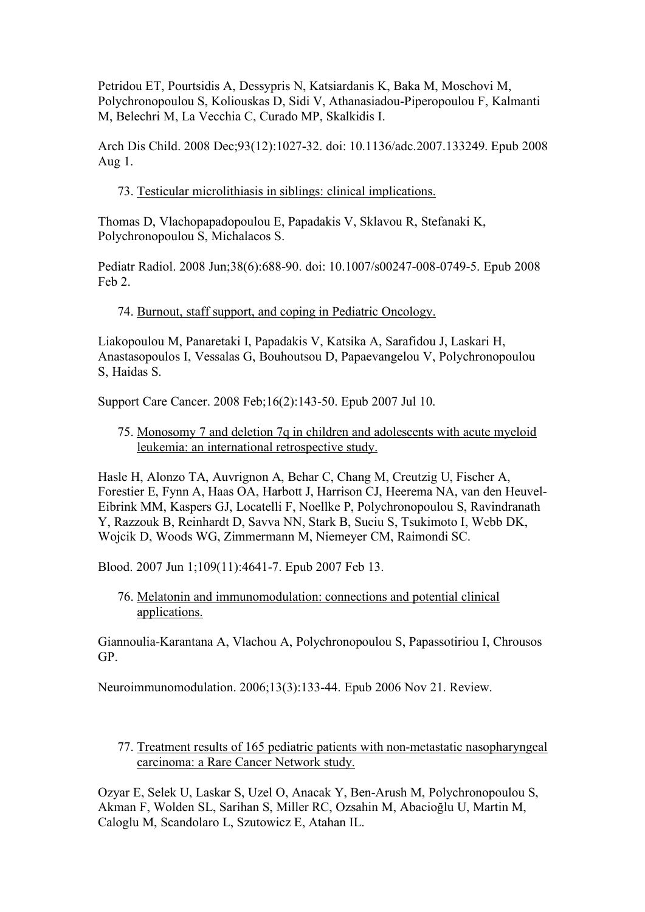Petridou ET, Pourtsidis A, Dessypris N, Katsiardanis K, Baka M, Moschovi M, Polychronopoulou S, Koliouskas D, Sidi V, Athanasiadou-Piperopoulou F, Kalmanti M, Belechri M, La Vecchia C, Curado MP, Skalkidis I.

Arch Dis Child. 2008 Dec;93(12):1027-32. doi: 10.1136/adc.2007.133249. Epub 2008 Aug 1.

73. Testicular microlithiasis in siblings: clinical implications.

Thomas D, Vlachopapadopoulou E, Papadakis V, Sklavou R, Stefanaki K, Polychronopoulou S, Michalacos S.

Pediatr Radiol. 2008 Jun;38(6):688-90. doi: 10.1007/s00247-008-0749-5. Epub 2008 Feb 2.

74. Burnout, staff support, and coping in Pediatric Oncology.

Liakopoulou M, Panaretaki I, Papadakis V, Katsika A, Sarafidou J, Laskari H, Anastasopoulos I, Vessalas G, Bouhoutsou D, Papaevangelou V, Polychronopoulou S, Haidas S.

Support Care Cancer. 2008 Feb;16(2):143-50. Epub 2007 Jul 10.

75. Monosomy 7 and deletion 7q in children and adolescents with acute myeloid leukemia: an international retrospective study.

Hasle H, Alonzo TA, Auvrignon A, Behar C, Chang M, Creutzig U, Fischer A, Forestier E, Fynn A, Haas OA, Harbott J, Harrison CJ, Heerema NA, van den Heuvel-Eibrink MM, Kaspers GJ, Locatelli F, Noellke P, Polychronopoulou S, Ravindranath Y, Razzouk B, Reinhardt D, Savva NN, Stark B, Suciu S, Tsukimoto I, Webb DK, Wojcik D, Woods WG, Zimmermann M, Niemeyer CM, Raimondi SC.

Blood. 2007 Jun 1;109(11):4641-7. Epub 2007 Feb 13.

76. Melatonin and immunomodulation: connections and potential clinical applications.

Giannoulia-Karantana A, Vlachou A, Polychronopoulou S, Papassotiriou I, Chrousos GP.

Neuroimmunomodulation. 2006;13(3):133-44. Epub 2006 Nov 21. Review.

77. Treatment results of 165 pediatric patients with non-metastatic nasopharyngeal carcinoma: a Rare Cancer Network study.

Ozyar E, Selek U, Laskar S, Uzel O, Anacak Y, Ben-Arush M, Polychronopoulou S, Akman F, Wolden SL, Sarihan S, Miller RC, Ozsahin M, Abacioğlu U, Martin M, Caloglu M, Scandolaro L, Szutowicz E, Atahan IL.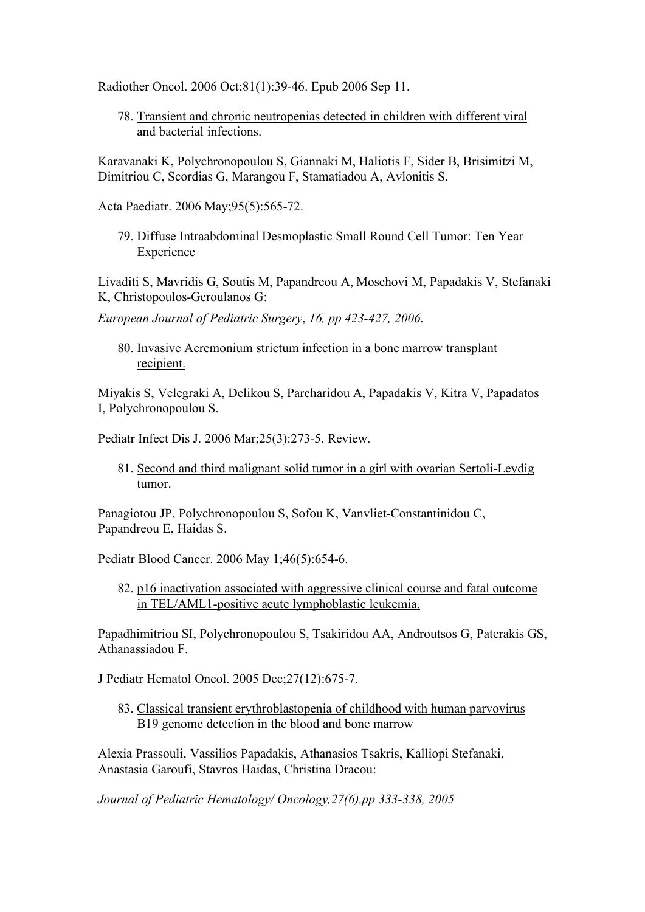Radiother Oncol. 2006 Oct;81(1):39-46. Epub 2006 Sep 11.

78. Transient and chronic neutropenias detected in children with different viral and bacterial infections.

Karavanaki K, Polychronopoulou S, Giannaki M, Haliotis F, Sider B, Brisimitzi M, Dimitriou C, Scordias G, Marangou F, Stamatiadou A, Avlonitis S.

Acta Paediatr. 2006 May;95(5):565-72.

79. Diffuse Intraabdominal Desmoplastic Small Round Cell Tumor: Ten Year Experience

Livaditi S, Mavridis G, Soutis M, Papandreou A, Moschovi M, Papadakis V, Stefanaki K, Christopoulos-Geroulanos G:

*European Journal of Pediatric Surgery*, *16, pp 423-427, 2006*.

80. Invasive Acremonium strictum infection in a bone marrow transplant recipient.

Miyakis S, Velegraki A, Delikou S, Parcharidou A, Papadakis V, Kitra V, Papadatos I, Polychronopoulou S.

Pediatr Infect Dis J. 2006 Mar;25(3):273-5. Review.

81. Second and third malignant solid tumor in a girl with ovarian Sertoli-Leydig tumor.

Panagiotou JP, Polychronopoulou S, Sofou K, Vanvliet-Constantinidou C, Papandreou E, Haidas S.

Pediatr Blood Cancer. 2006 May 1;46(5):654-6.

82. p16 inactivation associated with aggressive clinical course and fatal outcome in TEL/AML1-positive acute lymphoblastic leukemia.

Papadhimitriou SI, Polychronopoulou S, Tsakiridou AA, Androutsos G, Paterakis GS, Athanassiadou F.

J Pediatr Hematol Oncol. 2005 Dec;27(12):675-7.

83. Classical transient erythroblastopenia of childhood with human parvovirus B<sub>19</sub> genome detection in the blood and bone marrow

Alexia Prassouli, Vassilios Papadakis, Athanasios Tsakris, Kalliopi Stefanaki, Anastasia Garoufi, Stavros Haidas, Christina Dracou:

*Journal of Pediatric Hematology/ Oncology,27(6),pp 333-338, 2005*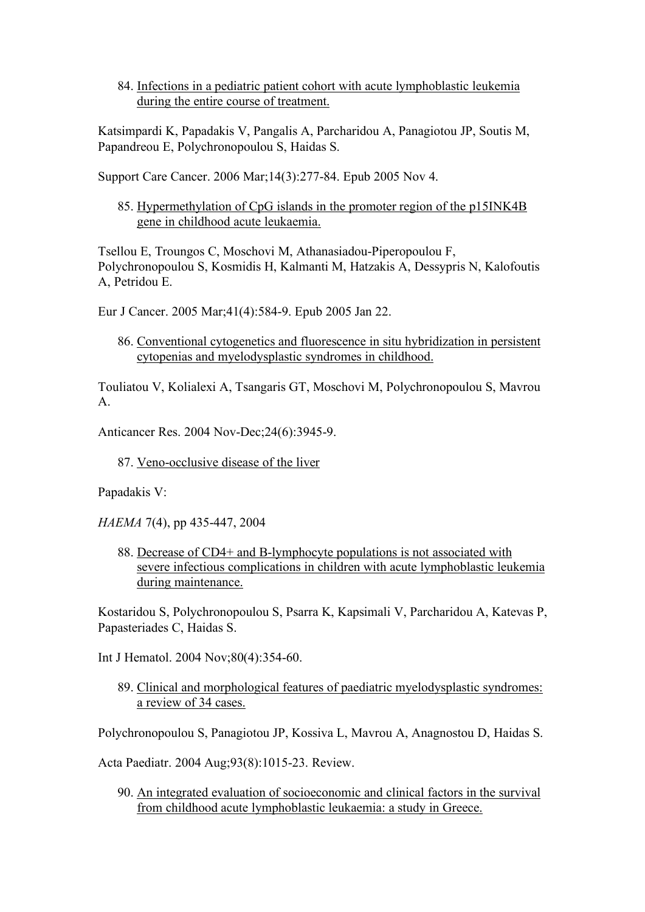84. Infections in a pediatric patient cohort with acute lymphoblastic leukemia during the entire course of treatment.

Katsimpardi K, Papadakis V, Pangalis A, Parcharidou A, Panagiotou JP, Soutis M, Papandreou E, Polychronopoulou S, Haidas S.

Support Care Cancer. 2006 Mar;14(3):277-84. Epub 2005 Nov 4.

85. Hypermethylation of CpG islands in the promoter region of the p15INK4B gene in childhood acute leukaemia.

Tsellou E, Troungos C, Moschovi M, Athanasiadou-Piperopoulou F, Polychronopoulou S, Kosmidis H, Kalmanti M, Hatzakis A, Dessypris N, Kalofoutis A, Petridou E.

Eur J Cancer. 2005 Mar;41(4):584-9. Epub 2005 Jan 22.

86. Conventional cytogenetics and fluorescence in situ hybridization in persistent cytopenias and myelodysplastic syndromes in childhood.

Touliatou V, Kolialexi A, Tsangaris GT, Moschovi M, Polychronopoulou S, Mavrou A.

Anticancer Res. 2004 Nov-Dec;24(6):3945-9.

87. Veno-occlusive disease of the liver

Papadakis V:

*HAEMA* 7(4), pp 435-447, 2004

88. Decrease of CD4+ and B-lymphocyte populations is not associated with severe infectious complications in children with acute lymphoblastic leukemia during maintenance.

Kostaridou S, Polychronopoulou S, Psarra K, Kapsimali V, Parcharidou A, Katevas P, Papasteriades C, Haidas S.

Int J Hematol. 2004 Nov;80(4):354-60.

89. Clinical and morphological features of paediatric myelodysplastic syndromes: a review of 34 cases.

Polychronopoulou S, Panagiotou JP, Kossiva L, Mavrou A, Anagnostou D, Haidas S.

Acta Paediatr. 2004 Aug;93(8):1015-23. Review.

90. An integrated evaluation of socioeconomic and clinical factors in the survival from childhood acute lymphoblastic leukaemia: a study in Greece.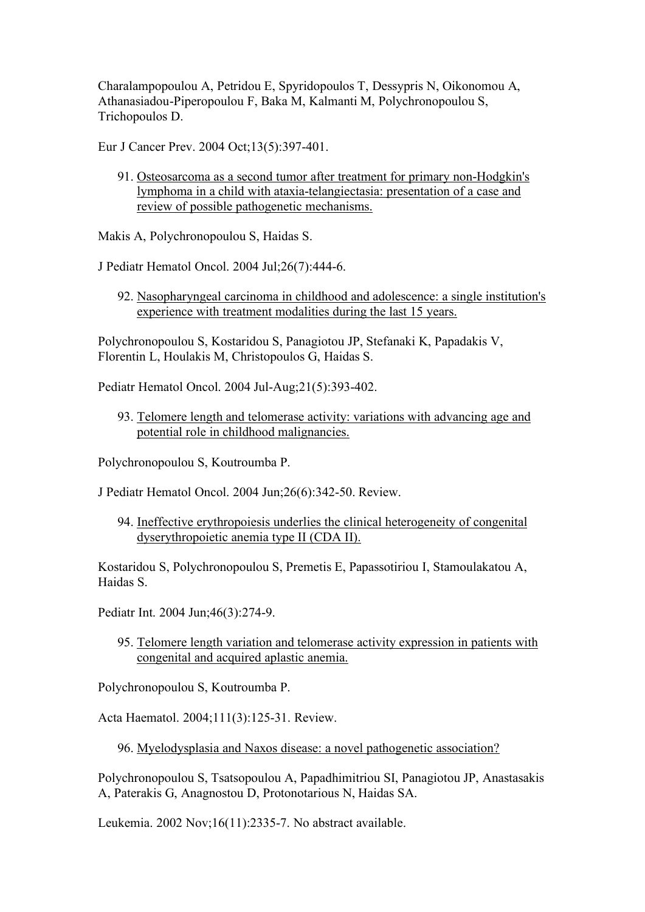Charalampopoulou A, Petridou E, Spyridopoulos T, Dessypris N, Oikonomou A, Athanasiadou-Piperopoulou F, Baka M, Kalmanti M, Polychronopoulou S, Trichopoulos D.

Eur J Cancer Prev. 2004 Oct;13(5):397-401.

91. Osteosarcoma as a second tumor after treatment for primary non-Hodgkin's lymphoma in a child with ataxia-telangiectasia: presentation of a case and review of possible pathogenetic mechanisms.

Makis A, Polychronopoulou S, Haidas S.

J Pediatr Hematol Oncol. 2004 Jul;26(7):444-6.

92. Nasopharyngeal carcinoma in childhood and adolescence: a single institution's experience with treatment modalities during the last 15 years.

Polychronopoulou S, Kostaridou S, Panagiotou JP, Stefanaki K, Papadakis V, Florentin L, Houlakis M, Christopoulos G, Haidas S.

Pediatr Hematol Oncol. 2004 Jul-Aug;21(5):393-402.

93. Telomere length and telomerase activity: variations with advancing age and potential role in childhood malignancies.

Polychronopoulou S, Koutroumba P.

J Pediatr Hematol Oncol. 2004 Jun;26(6):342-50. Review.

94. Ineffective erythropoiesis underlies the clinical heterogeneity of congenital dyserythropoietic anemia type II (CDA II).

Kostaridou S, Polychronopoulou S, Premetis E, Papassotiriou I, Stamoulakatou A, Haidas S.

Pediatr Int. 2004 Jun;46(3):274-9.

95. Telomere length variation and telomerase activity expression in patients with congenital and acquired aplastic anemia.

Polychronopoulou S, Koutroumba P.

Acta Haematol. 2004;111(3):125-31. Review.

96. Myelodysplasia and Naxos disease: a novel pathogenetic association?

Polychronopoulou S, Tsatsopoulou A, Papadhimitriou SI, Panagiotou JP, Anastasakis A, Paterakis G, Anagnostou D, Protonotarious N, Haidas SA.

Leukemia. 2002 Nov;16(11):2335-7. No abstract available.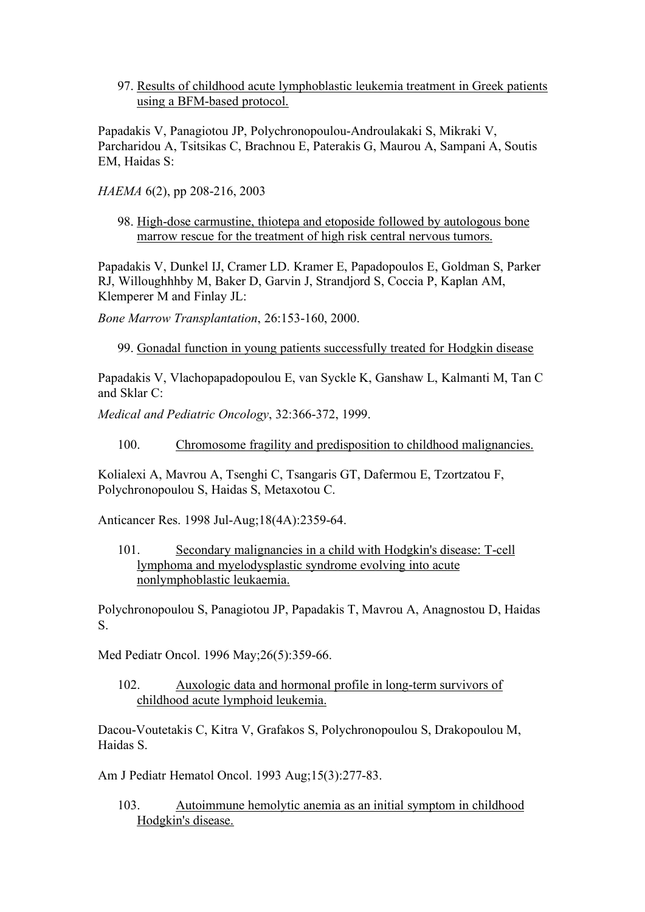97. Results of childhood acute lymphoblastic leukemia treatment in Greek patients using a BFM-based protocol.

Papadakis V, Panagiotou JP, Polychronopoulou-Androulakaki S, Mikraki V, Parcharidou A, Tsitsikas C, Brachnou E, Paterakis G, Maurou A, Sampani A, Soutis EM, Haidas S:

*HAEMA* 6(2), pp 208-216, 2003

98. High-dose carmustine, thiotepa and etoposide followed by autologous bone marrow rescue for the treatment of high risk central nervous tumors.

Papadakis V, Dunkel IJ, Cramer LD. Kramer E, Papadopoulos E, Goldman S, Parker RJ, Willoughhhby M, Baker D, Garvin J, Strandjord S, Coccia P, Kaplan AM, Klemperer M and Finlay JL:

*Bone Marrow Transplantation*, 26:153-160, 2000.

99. Gonadal function in young patients successfully treated for Hodgkin disease

Papadakis V, Vlachopapadopoulou E, van Syckle K, Ganshaw L, Kalmanti M, Tan C and Sklar C:

*Medical and Pediatric Oncology*, 32:366-372, 1999.

100. Chromosome fragility and predisposition to childhood malignancies.

Kolialexi A, Mavrou A, Tsenghi C, Tsangaris GT, Dafermou E, Tzortzatou F, Polychronopoulou S, Haidas S, Metaxotou C.

Anticancer Res. 1998 Jul-Aug;18(4A):2359-64.

101. Secondary malignancies in a child with Hodgkin's disease: T-cell lymphoma and myelodysplastic syndrome evolving into acute nonlymphoblastic leukaemia.

Polychronopoulou S, Panagiotou JP, Papadakis T, Mavrou A, Anagnostou D, Haidas S.

Med Pediatr Oncol. 1996 May;26(5):359-66.

102. Auxologic data and hormonal profile in long-term survivors of childhood acute lymphoid leukemia.

Dacou-Voutetakis C, Kitra V, Grafakos S, Polychronopoulou S, Drakopoulou M, Haidas S.

Am J Pediatr Hematol Oncol. 1993 Aug;15(3):277-83.

103. Autoimmune hemolytic anemia as an initial symptom in childhood Hodgkin's disease.